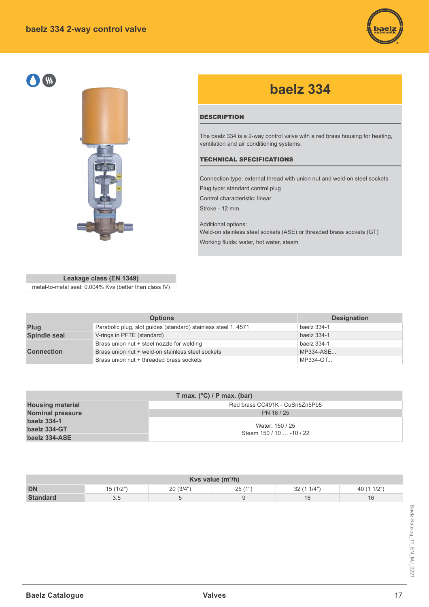# **baelz 334 2-way control valve**







# **baelz 334**

## **DESCRIPTION**

The baelz 334 is a 2-way control valve with a red brass housing for heating, ventilation and air conditioning systems.

#### TECHNICAL SPECIFICATIONS

Connection type: external thread with union nut and weld-on steel sockets Plug type: standard control plug

Control characteristic: linear

Stroke - 12 mm

Additional options: Weld-on stainless steel sockets (ASE) or threaded brass sockets (GT) Working fluids: water, hot water, steam

| Leakage class (EN 1349)                                |
|--------------------------------------------------------|
| metal-to-metal seal: 0.004% Kvs (better than class IV) |

|                     | <b>Options</b>                                                | <b>Designation</b> |
|---------------------|---------------------------------------------------------------|--------------------|
| Plug                | Parabolic plug, slot guides (standard) stainless steel 1.4571 | baelz 334-1        |
| <b>Spindle seal</b> | V-rings in PFTE (standard)                                    | baelz 334-1        |
|                     | Brass union nut + steel nozzle for welding                    | baelz 334-1        |
| <b>Connection</b>   | Brass union nut + weld-on stainless steel sockets             | MP334-ASE          |
|                     | Brass union nut + threaded brass sockets                      | MP334-GT           |

| T max. $(^{\circ}C)$ / P max. (bar) |                                             |  |  |  |  |  |  |  |  |  |  |
|-------------------------------------|---------------------------------------------|--|--|--|--|--|--|--|--|--|--|
| <b>Housing material</b>             | Red brass CC491K - CuSn5Zn5Pb5              |  |  |  |  |  |  |  |  |  |  |
| <b>Nominal pressure</b>             | PN 16/25                                    |  |  |  |  |  |  |  |  |  |  |
| baelz 334-1                         |                                             |  |  |  |  |  |  |  |  |  |  |
| baelz 334-GT                        | Water: 150 / 25<br>Steam 150 / 10  -10 / 22 |  |  |  |  |  |  |  |  |  |  |
| baelz 334-ASE                       |                                             |  |  |  |  |  |  |  |  |  |  |

| Kvs value $(m^3/h)$ |                          |          |        |           |      |  |  |  |  |  |  |  |  |
|---------------------|--------------------------|----------|--------|-----------|------|--|--|--|--|--|--|--|--|
| <b>DN</b>           | (1/2"<br>$1/\mathcal{L}$ | 20(3/4") | 25(1") | 32(11/4") | 1/2" |  |  |  |  |  |  |  |  |
| <b>Standard</b>     | ບ.ບ                      |          |        | 16        | 16   |  |  |  |  |  |  |  |  |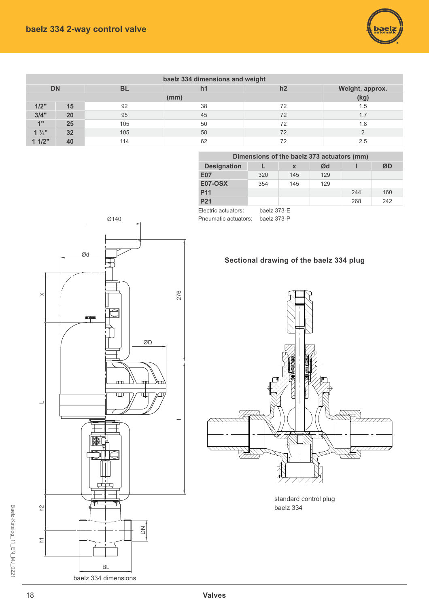

| baelz 334 dimensions and weight |    |           |                |    |                 |  |  |  |  |  |  |  |
|---------------------------------|----|-----------|----------------|----|-----------------|--|--|--|--|--|--|--|
| <b>DN</b>                       |    | <b>BL</b> | h <sub>1</sub> | h2 | Weight, approx. |  |  |  |  |  |  |  |
|                                 |    |           | (mm)           |    | (kg)            |  |  |  |  |  |  |  |
| 1/2"                            | 15 | 92        | 38             | 72 | 1.5             |  |  |  |  |  |  |  |
| 3/4"                            | 20 | 95        | 45             | 72 | 1.7             |  |  |  |  |  |  |  |
| 1"                              | 25 | 105       | 50             | 72 | 1.8             |  |  |  |  |  |  |  |
| $1\frac{1}{4}$                  | 32 | 105       | 58             | 72 |                 |  |  |  |  |  |  |  |
| 11/2"                           | 40 | 114       | 62             | 72 | 2.5             |  |  |  |  |  |  |  |

| Dimensions of the baelz 373 actuators (mm) |             |     |     |     |     |  |  |  |  |  |  |  |  |  |
|--------------------------------------------|-------------|-----|-----|-----|-----|--|--|--|--|--|--|--|--|--|
| <b>Designation</b><br>Ød<br>ØD<br>X        |             |     |     |     |     |  |  |  |  |  |  |  |  |  |
| <b>E07</b>                                 | 320         | 145 | 129 |     |     |  |  |  |  |  |  |  |  |  |
| <b>E07-OSX</b>                             | 354         | 145 | 129 |     |     |  |  |  |  |  |  |  |  |  |
| <b>P11</b>                                 |             |     |     | 244 | 160 |  |  |  |  |  |  |  |  |  |
| P <sub>21</sub>                            |             |     |     | 268 | 242 |  |  |  |  |  |  |  |  |  |
| Electric actuators:                        | baelz 373-E |     |     |     |     |  |  |  |  |  |  |  |  |  |

Pneumatic actuators: baelz 373-P





standard control plug baelz 334